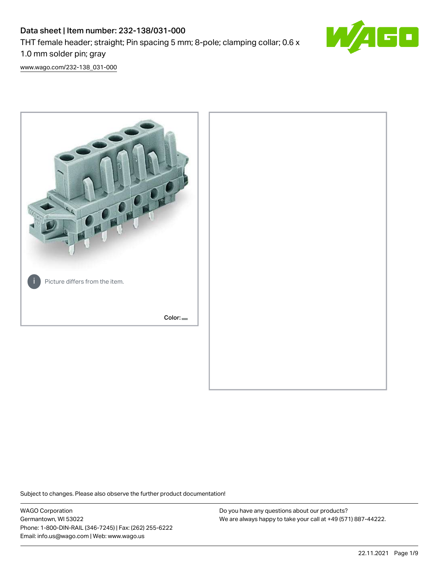# Data sheet | Item number: 232-138/031-000 THT female header; straight; Pin spacing 5 mm; 8-pole; clamping collar; 0.6 x 1.0 mm solder pin; gray



[www.wago.com/232-138\\_031-000](http://www.wago.com/232-138_031-000)



Subject to changes. Please also observe the further product documentation!

WAGO Corporation Germantown, WI 53022 Phone: 1-800-DIN-RAIL (346-7245) | Fax: (262) 255-6222 Email: info.us@wago.com | Web: www.wago.us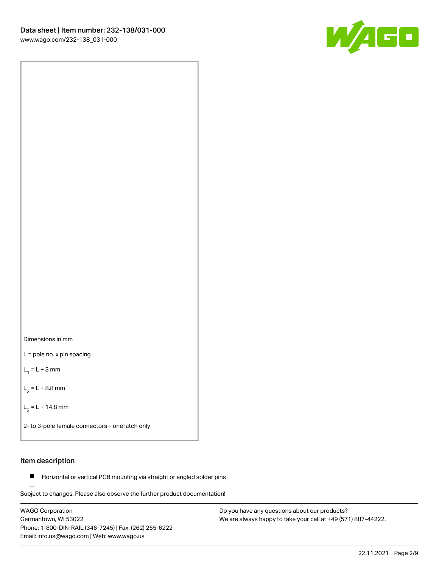



L = pole no. x pin spacing

 $L_1 = L + 3$  mm

 $L_2 = L + 8.8$  mm

 $L_3 = L + 14.8$  mm

2- to 3-pole female connectors – one latch only

## Item description

**Horizontal or vertical PCB mounting via straight or angled solder pins** 

Subject to changes. Please also observe the further product documentation! For board-to-board and board-to-wire connections

WAGO Corporation Germantown, WI 53022 Phone: 1-800-DIN-RAIL (346-7245) | Fax: (262) 255-6222 Email: info.us@wago.com | Web: www.wago.us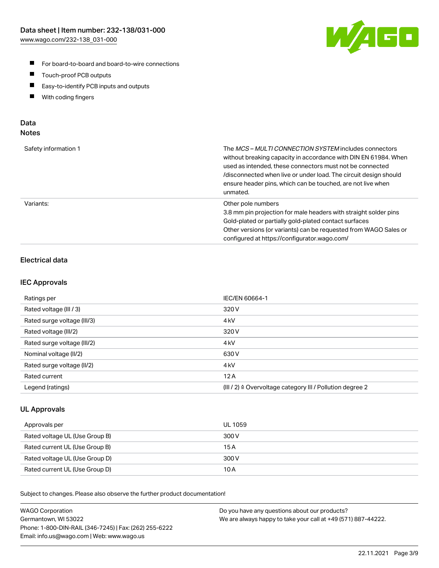

- For board-to-board and board-to-wire connections
- $\blacksquare$ Touch-proof PCB outputs
- $\blacksquare$ Easy-to-identify PCB inputs and outputs
- $\blacksquare$ With coding fingers

## Data **Notes**

| Safety information 1 | The <i>MCS – MULTI CONNECTION SYSTEM</i> includes connectors<br>without breaking capacity in accordance with DIN EN 61984. When<br>used as intended, these connectors must not be connected<br>/disconnected when live or under load. The circuit design should<br>ensure header pins, which can be touched, are not live when<br>unmated. |
|----------------------|--------------------------------------------------------------------------------------------------------------------------------------------------------------------------------------------------------------------------------------------------------------------------------------------------------------------------------------------|
| Variants:            | Other pole numbers<br>3.8 mm pin projection for male headers with straight solder pins<br>Gold-plated or partially gold-plated contact surfaces<br>Other versions (or variants) can be requested from WAGO Sales or<br>configured at https://configurator.wago.com/                                                                        |

# Electrical data

## IEC Approvals

| Ratings per                 | IEC/EN 60664-1                                                        |
|-----------------------------|-----------------------------------------------------------------------|
| Rated voltage (III / 3)     | 320 V                                                                 |
| Rated surge voltage (III/3) | 4 <sub>k</sub> V                                                      |
| Rated voltage (III/2)       | 320 V                                                                 |
| Rated surge voltage (III/2) | 4 <sub>k</sub> V                                                      |
| Nominal voltage (II/2)      | 630 V                                                                 |
| Rated surge voltage (II/2)  | 4 <sub>kV</sub>                                                       |
| Rated current               | 12A                                                                   |
| Legend (ratings)            | $(III / 2)$ $\triangle$ Overvoltage category III / Pollution degree 2 |

## UL Approvals

| Approvals per                  | UL 1059 |
|--------------------------------|---------|
| Rated voltage UL (Use Group B) | 300 V   |
| Rated current UL (Use Group B) | 15 A    |
| Rated voltage UL (Use Group D) | 300 V   |
| Rated current UL (Use Group D) | 10 A    |

Subject to changes. Please also observe the further product documentation!

| <b>WAGO Corporation</b>                                | Do you have any questions about our products?                 |
|--------------------------------------------------------|---------------------------------------------------------------|
| Germantown, WI 53022                                   | We are always happy to take your call at +49 (571) 887-44222. |
| Phone: 1-800-DIN-RAIL (346-7245)   Fax: (262) 255-6222 |                                                               |
| Email: info.us@wago.com   Web: www.wago.us             |                                                               |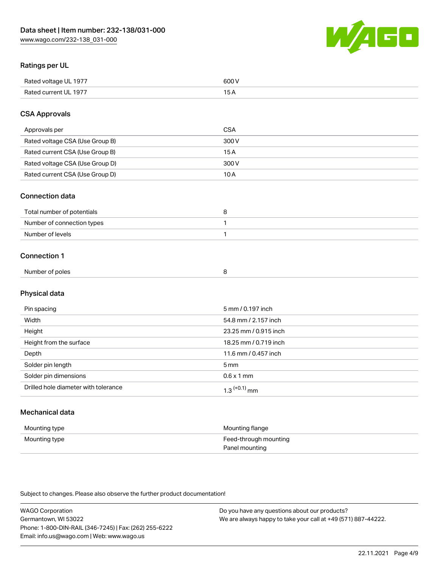

## Ratings per UL

| Rated voltage UL 1977                | COO V<br>ור |
|--------------------------------------|-------------|
| <b>Rated</b><br>UL 1977<br>curront l | _____       |

## CSA Approvals

| Approvals per                   | CSA   |
|---------------------------------|-------|
| Rated voltage CSA (Use Group B) | 300 V |
| Rated current CSA (Use Group B) | 15 A  |
| Rated voltage CSA (Use Group D) | 300 V |
| Rated current CSA (Use Group D) | 10 A  |

#### Connection data

| Total number of potentials |  |
|----------------------------|--|
| Number of connection types |  |
| Number of levels           |  |

#### Connection 1

| Number of poles |  |  |
|-----------------|--|--|
|                 |  |  |

# Physical data

| Pin spacing                          | 5 mm / 0.197 inch     |
|--------------------------------------|-----------------------|
| Width                                | 54.8 mm / 2.157 inch  |
| Height                               | 23.25 mm / 0.915 inch |
| Height from the surface              | 18.25 mm / 0.719 inch |
| Depth                                | 11.6 mm / 0.457 inch  |
| Solder pin length                    | 5 <sub>mm</sub>       |
| Solder pin dimensions                | $0.6 \times 1$ mm     |
| Drilled hole diameter with tolerance | $1.3$ $(+0.1)$ mm     |

# Mechanical data

| Mounting type | Mounting flange                         |
|---------------|-----------------------------------------|
| Mounting type | Feed-through mounting<br>Panel mounting |

Subject to changes. Please also observe the further product documentation!

| <b>WAGO Corporation</b>                                | Do you have any questions about our products?                 |
|--------------------------------------------------------|---------------------------------------------------------------|
| Germantown, WI 53022                                   | We are always happy to take your call at +49 (571) 887-44222. |
| Phone: 1-800-DIN-RAIL (346-7245)   Fax: (262) 255-6222 |                                                               |
| Email: info.us@wago.com   Web: www.wago.us             |                                                               |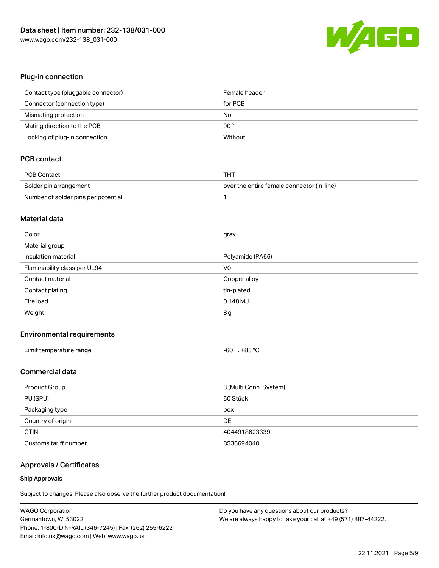

## Plug-in connection

| Contact type (pluggable connector) | Female header |
|------------------------------------|---------------|
| Connector (connection type)        | for PCB       |
| Mismating protection               | No            |
| Mating direction to the PCB        | $90^{\circ}$  |
| Locking of plug-in connection      | Without       |

# PCB contact

| PCB Contact                         | тнт                                        |
|-------------------------------------|--------------------------------------------|
| Solder pin arrangement              | over the entire female connector (in-line) |
| Number of solder pins per potential |                                            |

#### Material data

| Color                       | gray             |
|-----------------------------|------------------|
| Material group              |                  |
| Insulation material         | Polyamide (PA66) |
| Flammability class per UL94 | V <sub>0</sub>   |
| Contact material            | Copper alloy     |
| Contact plating             | tin-plated       |
| Fire load                   | $0.148$ MJ       |
| Weight                      | 8g               |

#### Environmental requirements

| _imit<br>: temperature range<br>. . | $\circ$<br>$+ RF$<br>-bu<br>.<br>$\sim$ $\sim$ $\sim$ $\sim$ $\sim$ |  |
|-------------------------------------|---------------------------------------------------------------------|--|
|-------------------------------------|---------------------------------------------------------------------|--|

## Commercial data

| Product Group         | 3 (Multi Conn. System) |
|-----------------------|------------------------|
| PU (SPU)              | 50 Stück               |
| Packaging type        | box                    |
| Country of origin     | DE                     |
| <b>GTIN</b>           | 4044918623339          |
| Customs tariff number | 8536694040             |

# Approvals / Certificates

#### Ship Approvals

Subject to changes. Please also observe the further product documentation!

| <b>WAGO Corporation</b>                                | Do you have any questions about our products?                 |
|--------------------------------------------------------|---------------------------------------------------------------|
| Germantown, WI 53022                                   | We are always happy to take your call at +49 (571) 887-44222. |
| Phone: 1-800-DIN-RAIL (346-7245)   Fax: (262) 255-6222 |                                                               |
| Email: info.us@wago.com   Web: www.wago.us             |                                                               |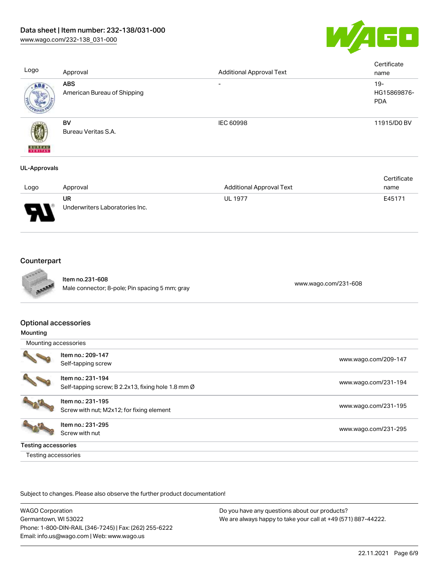

| Logo                     | Approval                                  | <b>Additional Approval Text</b> | Certificate<br>name                |
|--------------------------|-------------------------------------------|---------------------------------|------------------------------------|
| ABS.                     | <b>ABS</b><br>American Bureau of Shipping | $\overline{\phantom{0}}$        | $19-$<br>HG15869876-<br><b>PDA</b> |
| <b>BUREAU</b><br>VERITAS | BV<br>Bureau Veritas S.A.                 | <b>IEC 60998</b>                | 11915/D0 BV                        |
| <b>UL-Approvals</b>      |                                           |                                 |                                    |

|                               |                                |                                 | Certificate |
|-------------------------------|--------------------------------|---------------------------------|-------------|
| Logo                          | Approval                       | <b>Additional Approval Text</b> | name        |
|                               | UR                             | <b>UL 1977</b>                  | E45171      |
| J<br>$\overline{\phantom{a}}$ | Underwriters Laboratories Inc. |                                 |             |

# **Counterpart**



Item no.231-608 nem no.251-608<br>Male connector; 8-pole; Pin spacing 5 mm; gray [www.wago.com/231-608](https://www.wago.com/231-608)

#### Optional accessories

| Mounting                   |                                                    |                      |
|----------------------------|----------------------------------------------------|----------------------|
| Mounting accessories       |                                                    |                      |
|                            | Item no.: 209-147                                  | www.wago.com/209-147 |
|                            | Self-tapping screw                                 |                      |
|                            | Item no.: 231-194                                  |                      |
|                            | Self-tapping screw; B 2.2x13, fixing hole 1.8 mm Ø | www.wago.com/231-194 |
|                            | Item no.: 231-195                                  |                      |
|                            | Screw with nut; M2x12; for fixing element          | www.wago.com/231-195 |
|                            | Item no.: 231-295                                  |                      |
|                            | Screw with nut                                     | www.wago.com/231-295 |
| <b>Testing accessories</b> |                                                    |                      |
| Testing accessories        |                                                    |                      |

Subject to changes. Please also observe the further product documentation!

WAGO Corporation Germantown, WI 53022 Phone: 1-800-DIN-RAIL (346-7245) | Fax: (262) 255-6222 Email: info.us@wago.com | Web: www.wago.us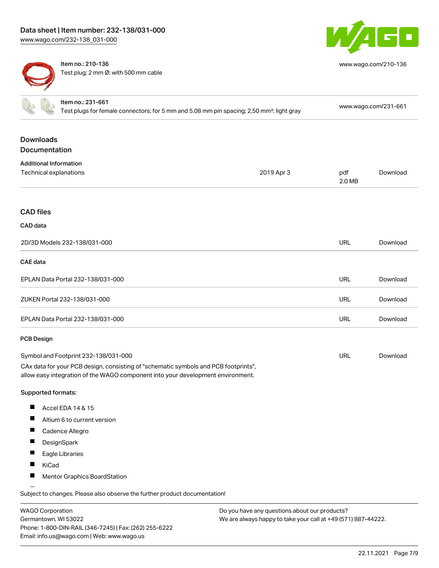

[www.wago.com/210-136](http://www.wago.com/210-136)

Item no.: 210-136 Test plug; 2 mm Ø; with 500 mm cable

| Item no.: 231-661<br>Test plugs for female connectors; for 5 mm and 5.08 mm pin spacing; 2,50 mm <sup>2</sup> ; light gray                                                                                     |                                                                            |            | www.wago.com/231-661 |          |
|----------------------------------------------------------------------------------------------------------------------------------------------------------------------------------------------------------------|----------------------------------------------------------------------------|------------|----------------------|----------|
| <b>Downloads</b><br><b>Documentation</b>                                                                                                                                                                       |                                                                            |            |                      |          |
| <b>Additional Information</b><br>Technical explanations                                                                                                                                                        |                                                                            | 2019 Apr 3 | pdf<br>2.0 MB        | Download |
| <b>CAD files</b>                                                                                                                                                                                               |                                                                            |            |                      |          |
| CAD data                                                                                                                                                                                                       |                                                                            |            |                      |          |
|                                                                                                                                                                                                                | 2D/3D Models 232-138/031-000                                               |            | <b>URL</b>           | Download |
| <b>CAE</b> data                                                                                                                                                                                                |                                                                            |            |                      |          |
|                                                                                                                                                                                                                | EPLAN Data Portal 232-138/031-000                                          |            | <b>URL</b>           | Download |
|                                                                                                                                                                                                                | ZUKEN Portal 232-138/031-000                                               |            | URL                  | Download |
|                                                                                                                                                                                                                | EPLAN Data Portal 232-138/031-000                                          |            | <b>URL</b>           | Download |
| <b>PCB Design</b>                                                                                                                                                                                              |                                                                            |            |                      |          |
| Symbol and Footprint 232-138/031-000<br>CAx data for your PCB design, consisting of "schematic symbols and PCB footprints",<br>allow easy integration of the WAGO component into your development environment. |                                                                            | <b>URL</b> | Download             |          |
| Supported formats:                                                                                                                                                                                             |                                                                            |            |                      |          |
|                                                                                                                                                                                                                | Accel EDA 14 & 15                                                          |            |                      |          |
|                                                                                                                                                                                                                | Altium 6 to current version                                                |            |                      |          |
| ш                                                                                                                                                                                                              | Cadence Allegro                                                            |            |                      |          |
|                                                                                                                                                                                                                | DesignSpark                                                                |            |                      |          |
| H.                                                                                                                                                                                                             | Eagle Libraries                                                            |            |                      |          |
| H.                                                                                                                                                                                                             | KiCad                                                                      |            |                      |          |
|                                                                                                                                                                                                                | Mentor Graphics BoardStation                                               |            |                      |          |
|                                                                                                                                                                                                                | Subject to changes. Please also observe the further product documentation! |            |                      |          |

WAGO Corporation Germantown, WI 53022 Phone: 1-800-DIN-RAIL (346-7245) | Fax: (262) 255-6222 Email: info.us@wago.com | Web: www.wago.us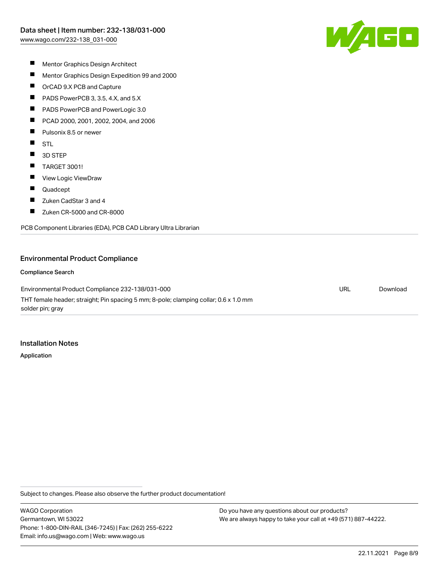

- $\blacksquare$ Mentor Graphics Design Architect
- $\blacksquare$ Mentor Graphics Design Expedition 99 and 2000
- $\blacksquare$ OrCAD 9.X PCB and Capture
- $\blacksquare$ PADS PowerPCB 3, 3.5, 4.X, and 5.X
- $\blacksquare$ PADS PowerPCB and PowerLogic 3.0
- $\blacksquare$ PCAD 2000, 2001, 2002, 2004, and 2006
- $\blacksquare$ Pulsonix 8.5 or newer
- $\blacksquare$ STL
- $\blacksquare$ 3D STEP
- $\blacksquare$ TARGET 3001!
- $\blacksquare$ View Logic ViewDraw
- $\blacksquare$ Quadcept
- $\blacksquare$ Zuken CadStar 3 and 4
- $\blacksquare$ Zuken CR-5000 and CR-8000

PCB Component Libraries (EDA), PCB CAD Library Ultra Librarian

#### Environmental Product Compliance

Compliance Search

Environmental Product Compliance 232-138/031-000 THT female header; straight; Pin spacing 5 mm; 8-pole; clamping collar; 0.6 x 1.0 mm solder pin; gray

Installation Notes

Application

Subject to changes. Please also observe the further product documentation!

WAGO Corporation Germantown, WI 53022 Phone: 1-800-DIN-RAIL (346-7245) | Fax: (262) 255-6222 Email: info.us@wago.com | Web: www.wago.us